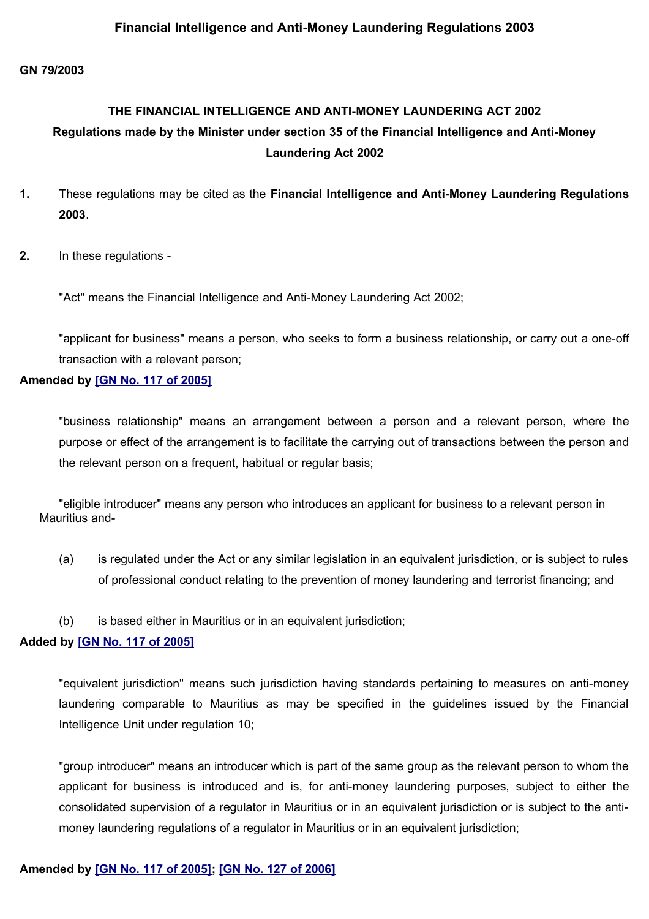## **Financial Intelligence and Anti-Money Laundering Regulations 2003**

#### **GN 79/2003**

# **THE FINANCIAL INTELLIGENCE AND ANTI-MONEY LAUNDERING ACT 2002 Regulations made by the Minister under section 35 of the Financial Intelligence and Anti-Money Laundering Act 2002**

- **1.** These regulations may be cited as the **Financial Intelligence and Anti-Money Laundering Regulations 2003**.
- **2.** In these regulations -

"Act" means the Financial Intelligence and Anti-Money Laundering Act 2002;

"applicant for business" means a person, who seeks to form a business relationship, or carry out a one-off transaction with a relevant person;

#### **Amended by [\[GN No. 117 of 2005\]](http://www.gov.mu/scourt/doc/showDoc.do?dk=GN%20No.%20117%20of%202005&dt=R)**

"business relationship" means an arrangement between a person and a relevant person, where the purpose or effect of the arrangement is to facilitate the carrying out of transactions between the person and the relevant person on a frequent, habitual or regular basis;

"eligible introducer" means any person who introduces an applicant for business to a relevant person in Mauritius and-

- (a) is regulated under the Act or any similar legislation in an equivalent jurisdiction, or is subject to rules of professional conduct relating to the prevention of money laundering and terrorist financing; and
- (b) is based either in Mauritius or in an equivalent jurisdiction;

#### **Added by [\[GN No. 117 of 2005\]](http://www.gov.mu/scourt/doc/showDoc.do?dk=GN%20No.%20117%20of%202005&dt=R)**

"equivalent jurisdiction" means such jurisdiction having standards pertaining to measures on anti-money laundering comparable to Mauritius as may be specified in the guidelines issued by the Financial Intelligence Unit under regulation 10;

"group introducer" means an introducer which is part of the same group as the relevant person to whom the applicant for business is introduced and is, for anti-money laundering purposes, subject to either the consolidated supervision of a regulator in Mauritius or in an equivalent jurisdiction or is subject to the antimoney laundering regulations of a regulator in Mauritius or in an equivalent jurisdiction;

#### **Amended by [\[GN No. 117 of 2005\];](http://www.gov.mu/scourt/doc/showDoc.do?dk=GN%20No.%20117%20of%202005&dt=R) [\[GN No. 127 of 2006\]](http://www.gov.mu/scourt/doc/showDoc.do?dk=GN%20No.%20127%20of%202006&dt=R)**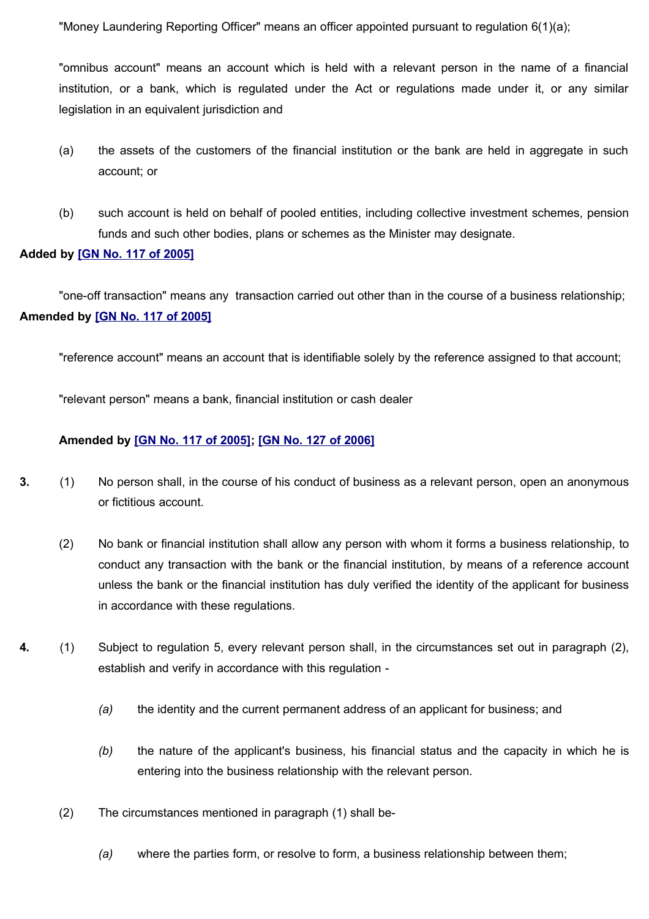"Money Laundering Reporting Officer" means an officer appointed pursuant to regulation 6(1)(a);

"omnibus account" means an account which is held with a relevant person in the name of a financial institution, or a bank, which is regulated under the Act or regulations made under it, or any similar legislation in an equivalent jurisdiction and

- (a) the assets of the customers of the financial institution or the bank are held in aggregate in such account; or
- (b) such account is held on behalf of pooled entities, including collective investment schemes, pension funds and such other bodies, plans or schemes as the Minister may designate.

#### **Added by [\[GN No. 117 of 2005\]](http://www.gov.mu/scourt/doc/showDoc.do?dk=GN%20No.%20117%20of%202005&dt=R)**

"one-off transaction" means any transaction carried out other than in the course of a business relationship; **Amended by [\[GN No. 117 of 2005\]](http://www.gov.mu/scourt/doc/showDoc.do?dk=GN%20No.%20117%20of%202005&dt=R)**

"reference account" means an account that is identifiable solely by the reference assigned to that account;

"relevant person" means a bank, financial institution or cash dealer

#### **Amended by [\[GN No. 117 of 2005\];](http://www.gov.mu/scourt/doc/showDoc.do?dk=GN%20No.%20117%20of%202005&dt=R) [\[GN No. 127 of 2006\]](http://www.gov.mu/scourt/doc/showDoc.do?dk=GN%20No.%20127%20of%202006&dt=R)**

- **3.** (1) No person shall, in the course of his conduct of business as a relevant person, open an anonymous or fictitious account.
	- (2) No bank or financial institution shall allow any person with whom it forms a business relationship, to conduct any transaction with the bank or the financial institution, by means of a reference account unless the bank or the financial institution has duly verified the identity of the applicant for business in accordance with these regulations.
- **4.** (1) Subject to regulation 5, every relevant person shall, in the circumstances set out in paragraph (2), establish and verify in accordance with this regulation -
	- *(a)* the identity and the current permanent address of an applicant for business; and
	- *(b)* the nature of the applicant's business, his financial status and the capacity in which he is entering into the business relationship with the relevant person.
	- (2) The circumstances mentioned in paragraph (1) shall be-
		- *(a)* where the parties form, or resolve to form, a business relationship between them;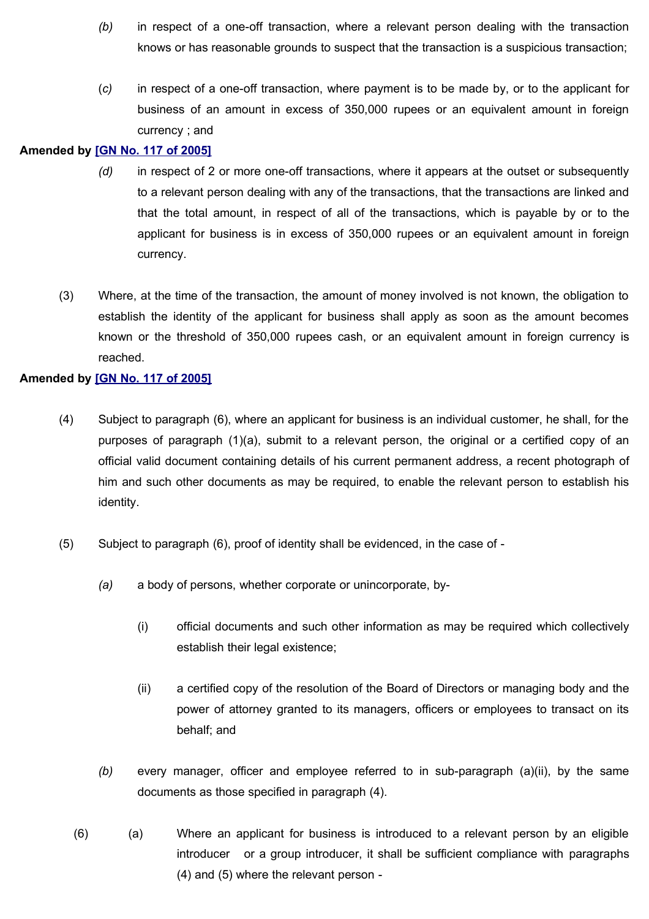- *(b)* in respect of a one-off transaction, where a relevant person dealing with the transaction knows or has reasonable grounds to suspect that the transaction is a suspicious transaction;
- (*c)* in respect of a one-off transaction, where payment is to be made by, or to the applicant for business of an amount in excess of 350,000 rupees or an equivalent amount in foreign currency ; and

### **Amended by [\[GN No. 117 of 2005\]](http://www.gov.mu/scourt/doc/showDoc.do?dk=GN%20No.%20117%20of%202005&dt=R)**

- *(d)* in respect of 2 or more one-off transactions, where it appears at the outset or subsequently to a relevant person dealing with any of the transactions, that the transactions are linked and that the total amount, in respect of all of the transactions, which is payable by or to the applicant for business is in excess of 350,000 rupees or an equivalent amount in foreign currency.
- (3) Where, at the time of the transaction, the amount of money involved is not known, the obligation to establish the identity of the applicant for business shall apply as soon as the amount becomes known or the threshold of 350,000 rupees cash, or an equivalent amount in foreign currency is reached.

## **Amended by [\[GN No. 117 of 2005\]](http://www.gov.mu/scourt/doc/showDoc.do?dk=GN%20No.%20117%20of%202005&dt=R)**

- (4) Subject to paragraph (6), where an applicant for business is an individual customer, he shall, for the purposes of paragraph (1)(a), submit to a relevant person, the original or a certified copy of an official valid document containing details of his current permanent address, a recent photograph of him and such other documents as may be required, to enable the relevant person to establish his identity.
- (5) Subject to paragraph (6), proof of identity shall be evidenced, in the case of
	- *(a)* a body of persons, whether corporate or unincorporate, by-
		- (i) official documents and such other information as may be required which collectively establish their legal existence;
		- (ii) a certified copy of the resolution of the Board of Directors or managing body and the power of attorney granted to its managers, officers or employees to transact on its behalf; and
	- *(b)* every manager, officer and employee referred to in sub-paragraph (a)(ii), by the same documents as those specified in paragraph (4).
	- (6) (a) Where an applicant for business is introduced to a relevant person by an eligible introducer or a group introducer, it shall be sufficient compliance with paragraphs (4) and (5) where the relevant person -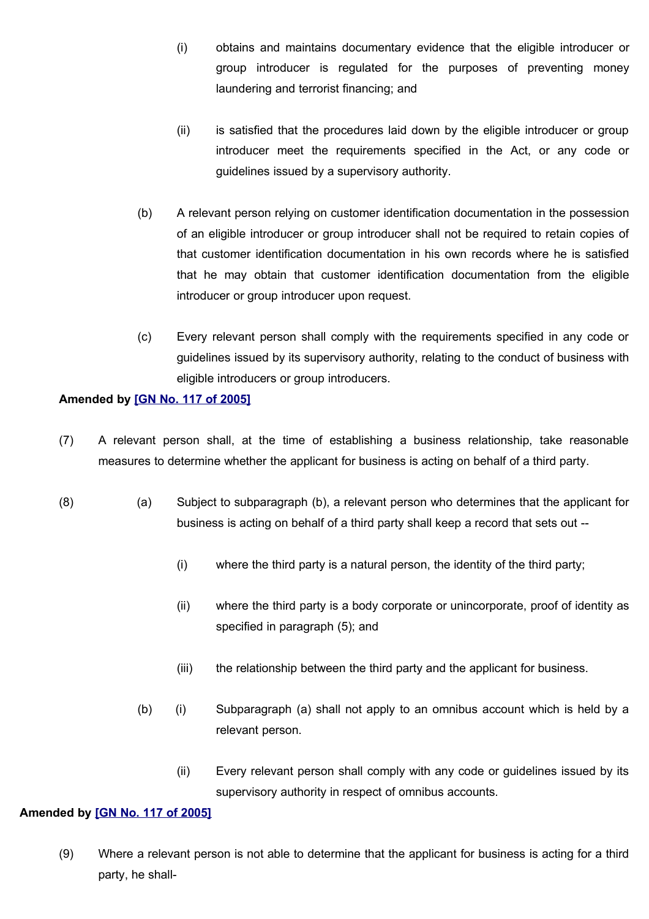- (i) obtains and maintains documentary evidence that the eligible introducer or group introducer is regulated for the purposes of preventing money laundering and terrorist financing; and
- (ii) is satisfied that the procedures laid down by the eligible introducer or group introducer meet the requirements specified in the Act, or any code or guidelines issued by a supervisory authority.
- (b) A relevant person relying on customer identification documentation in the possession of an eligible introducer or group introducer shall not be required to retain copies of that customer identification documentation in his own records where he is satisfied that he may obtain that customer identification documentation from the eligible introducer or group introducer upon request.
- (c) Every relevant person shall comply with the requirements specified in any code or guidelines issued by its supervisory authority, relating to the conduct of business with eligible introducers or group introducers.

## **Amended by [\[GN No. 117 of 2005\]](http://www.gov.mu/scourt/doc/showDoc.do?dk=GN%20No.%20117%20of%202005&dt=R)**

- (7) A relevant person shall, at the time of establishing a business relationship, take reasonable measures to determine whether the applicant for business is acting on behalf of a third party.
- (8) (a) Subject to subparagraph (b), a relevant person who determines that the applicant for business is acting on behalf of a third party shall keep a record that sets out --
	- (i) where the third party is a natural person, the identity of the third party;
	- (ii) where the third party is a body corporate or unincorporate, proof of identity as specified in paragraph (5); and
	- (iii) the relationship between the third party and the applicant for business.
	- (b) (i) Subparagraph (a) shall not apply to an omnibus account which is held by a relevant person.
		- (ii) Every relevant person shall comply with any code or guidelines issued by its supervisory authority in respect of omnibus accounts.

#### **Amended by [\[GN No. 117 of 2005\]](http://www.gov.mu/scourt/doc/showDoc.do?dk=GN%20No.%20117%20of%202005&dt=R)**

(9) Where a relevant person is not able to determine that the applicant for business is acting for a third party, he shall-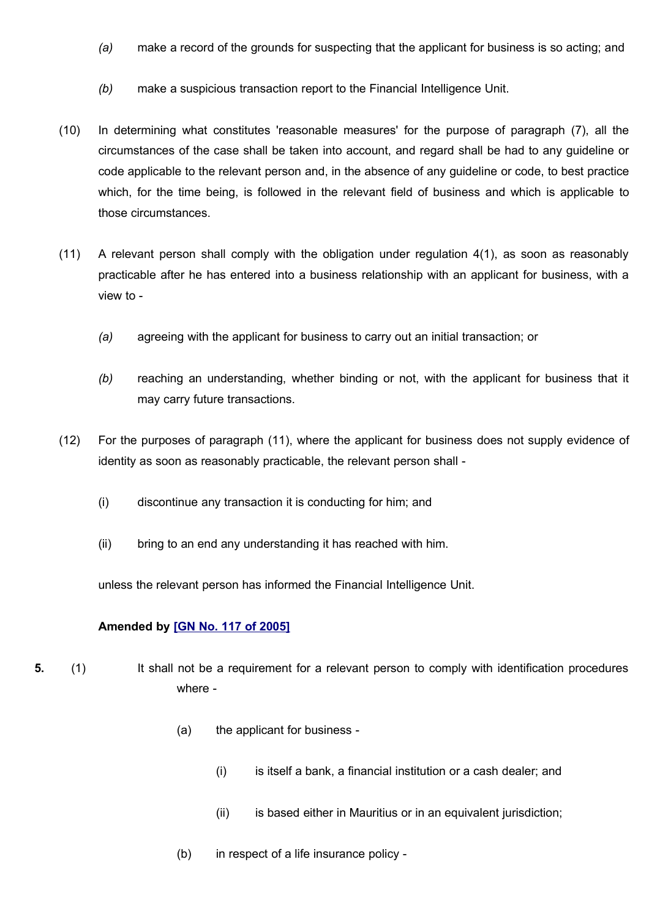- *(a)* make a record of the grounds for suspecting that the applicant for business is so acting; and
- *(b)* make a suspicious transaction report to the Financial Intelligence Unit.
- (10) In determining what constitutes 'reasonable measures' for the purpose of paragraph (7), all the circumstances of the case shall be taken into account, and regard shall be had to any guideline or code applicable to the relevant person and, in the absence of any guideline or code, to best practice which, for the time being, is followed in the relevant field of business and which is applicable to those circumstances.
- (11) A relevant person shall comply with the obligation under regulation 4(1), as soon as reasonably practicable after he has entered into a business relationship with an applicant for business, with a view to -
	- *(a)* agreeing with the applicant for business to carry out an initial transaction; or
	- *(b)* reaching an understanding, whether binding or not, with the applicant for business that it may carry future transactions.
- (12) For the purposes of paragraph (11), where the applicant for business does not supply evidence of identity as soon as reasonably practicable, the relevant person shall -
	- (i) discontinue any transaction it is conducting for him; and
	- (ii) bring to an end any understanding it has reached with him.

unless the relevant person has informed the Financial Intelligence Unit.

#### **Amended by [\[GN No. 117 of 2005\]](http://www.gov.mu/scourt/doc/showDoc.do?dk=GN%20No.%20117%20of%202005&dt=R)**

- **5.** (1) It shall not be a requirement for a relevant person to comply with identification procedures where -
	- (a) the applicant for business
		- (i) is itself a bank, a financial institution or a cash dealer; and
		- (ii) is based either in Mauritius or in an equivalent jurisdiction;
	- (b) in respect of a life insurance policy -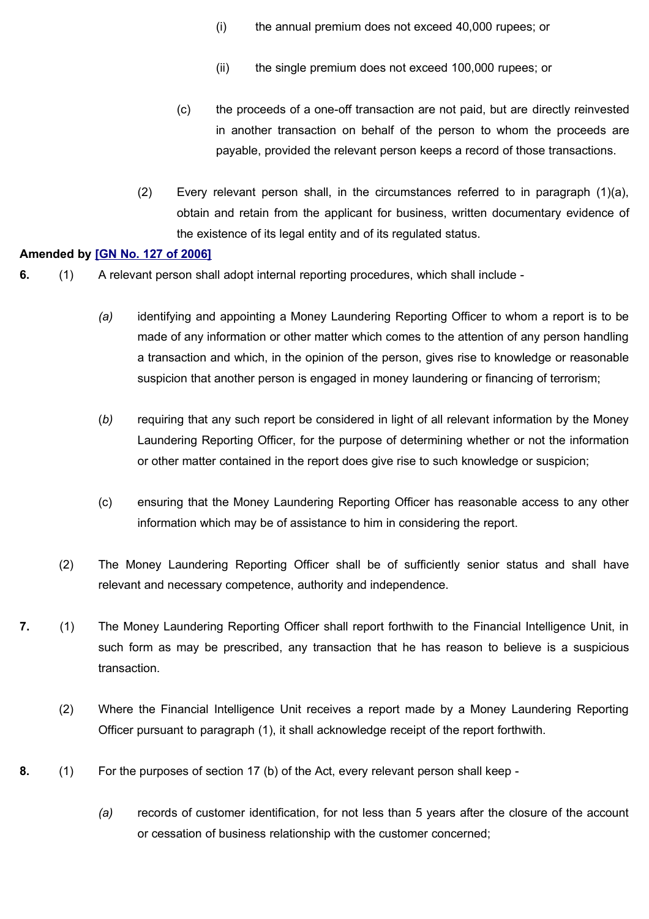- (i) the annual premium does not exceed 40,000 rupees; or
- (ii) the single premium does not exceed 100,000 rupees; or
- (c) the proceeds of a one-off transaction are not paid, but are directly reinvested in another transaction on behalf of the person to whom the proceeds are payable, provided the relevant person keeps a record of those transactions.
- (2) Every relevant person shall, in the circumstances referred to in paragraph (1)(a), obtain and retain from the applicant for business, written documentary evidence of the existence of its legal entity and of its regulated status.

#### **Amended by [\[GN No. 127 of 2006\]](http://www.gov.mu/scourt/doc/showDoc.do?dk=GN%20No.%20127%20of%202006&dt=R)**

- **6.** (1) A relevant person shall adopt internal reporting procedures, which shall include
	- *(a)* identifying and appointing a Money Laundering Reporting Officer to whom a report is to be made of any information or other matter which comes to the attention of any person handling a transaction and which, in the opinion of the person, gives rise to knowledge or reasonable suspicion that another person is engaged in money laundering or financing of terrorism;
	- (*b)* requiring that any such report be considered in light of all relevant information by the Money Laundering Reporting Officer, for the purpose of determining whether or not the information or other matter contained in the report does give rise to such knowledge or suspicion;
	- (c) ensuring that the Money Laundering Reporting Officer has reasonable access to any other information which may be of assistance to him in considering the report.
	- (2) The Money Laundering Reporting Officer shall be of sufficiently senior status and shall have relevant and necessary competence, authority and independence.
- **7.** (1) The Money Laundering Reporting Officer shall report forthwith to the Financial Intelligence Unit, in such form as may be prescribed, any transaction that he has reason to believe is a suspicious transaction.
	- (2) Where the Financial Intelligence Unit receives a report made by a Money Laundering Reporting Officer pursuant to paragraph (1), it shall acknowledge receipt of the report forthwith.
- **8.** (1) For the purposes of section 17 (b) of the Act, every relevant person shall keep
	- *(a)* records of customer identification, for not less than 5 years after the closure of the account or cessation of business relationship with the customer concerned;